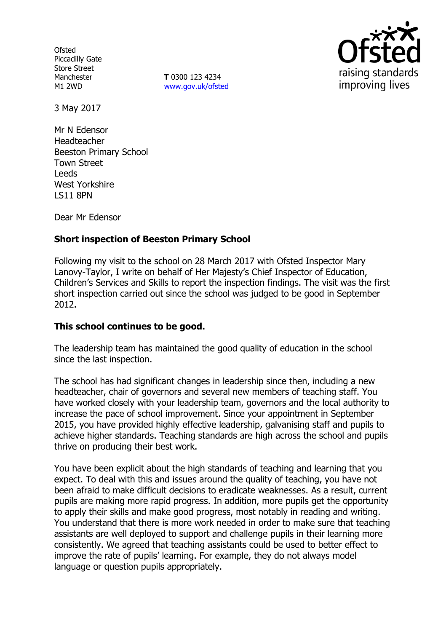**Ofsted** Piccadilly Gate Store Street Manchester M1 2WD

**T** 0300 123 4234 www.gov.uk/ofsted



3 May 2017

Mr N Edensor Headteacher Beeston Primary School Town Street Leeds West Yorkshire LS11 8PN

Dear Mr Edensor

# **Short inspection of Beeston Primary School**

Following my visit to the school on 28 March 2017 with Ofsted Inspector Mary Lanovy-Taylor, I write on behalf of Her Majesty's Chief Inspector of Education, Children's Services and Skills to report the inspection findings. The visit was the first short inspection carried out since the school was judged to be good in September 2012.

### **This school continues to be good.**

The leadership team has maintained the good quality of education in the school since the last inspection.

The school has had significant changes in leadership since then, including a new headteacher, chair of governors and several new members of teaching staff. You have worked closely with your leadership team, governors and the local authority to increase the pace of school improvement. Since your appointment in September 2015, you have provided highly effective leadership, galvanising staff and pupils to achieve higher standards. Teaching standards are high across the school and pupils thrive on producing their best work.

You have been explicit about the high standards of teaching and learning that you expect. To deal with this and issues around the quality of teaching, you have not been afraid to make difficult decisions to eradicate weaknesses. As a result, current pupils are making more rapid progress. In addition, more pupils get the opportunity to apply their skills and make good progress, most notably in reading and writing. You understand that there is more work needed in order to make sure that teaching assistants are well deployed to support and challenge pupils in their learning more consistently. We agreed that teaching assistants could be used to better effect to improve the rate of pupils' learning. For example, they do not always model language or question pupils appropriately.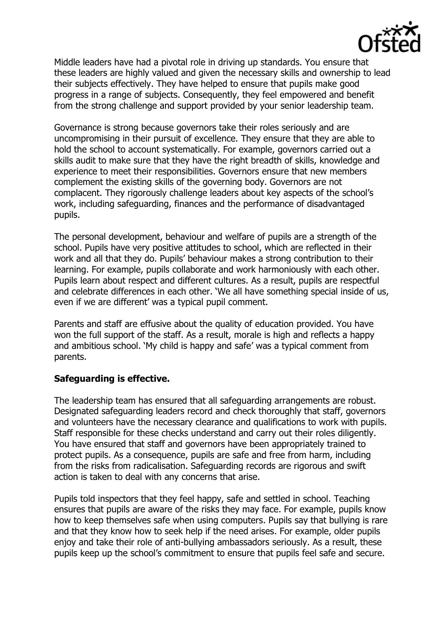

Middle leaders have had a pivotal role in driving up standards. You ensure that these leaders are highly valued and given the necessary skills and ownership to lead their subjects effectively. They have helped to ensure that pupils make good progress in a range of subjects. Consequently, they feel empowered and benefit from the strong challenge and support provided by your senior leadership team.

Governance is strong because governors take their roles seriously and are uncompromising in their pursuit of excellence. They ensure that they are able to hold the school to account systematically. For example, governors carried out a skills audit to make sure that they have the right breadth of skills, knowledge and experience to meet their responsibilities. Governors ensure that new members complement the existing skills of the governing body. Governors are not complacent. They rigorously challenge leaders about key aspects of the school's work, including safeguarding, finances and the performance of disadvantaged pupils.

The personal development, behaviour and welfare of pupils are a strength of the school. Pupils have very positive attitudes to school, which are reflected in their work and all that they do. Pupils' behaviour makes a strong contribution to their learning. For example, pupils collaborate and work harmoniously with each other. Pupils learn about respect and different cultures. As a result, pupils are respectful and celebrate differences in each other. 'We all have something special inside of us, even if we are different' was a typical pupil comment.

Parents and staff are effusive about the quality of education provided. You have won the full support of the staff. As a result, morale is high and reflects a happy and ambitious school. 'My child is happy and safe' was a typical comment from parents.

### **Safeguarding is effective.**

The leadership team has ensured that all safeguarding arrangements are robust. Designated safeguarding leaders record and check thoroughly that staff, governors and volunteers have the necessary clearance and qualifications to work with pupils. Staff responsible for these checks understand and carry out their roles diligently. You have ensured that staff and governors have been appropriately trained to protect pupils. As a consequence, pupils are safe and free from harm, including from the risks from radicalisation. Safeguarding records are rigorous and swift action is taken to deal with any concerns that arise.

Pupils told inspectors that they feel happy, safe and settled in school. Teaching ensures that pupils are aware of the risks they may face. For example, pupils know how to keep themselves safe when using computers. Pupils say that bullying is rare and that they know how to seek help if the need arises. For example, older pupils enjoy and take their role of anti-bullying ambassadors seriously. As a result, these pupils keep up the school's commitment to ensure that pupils feel safe and secure.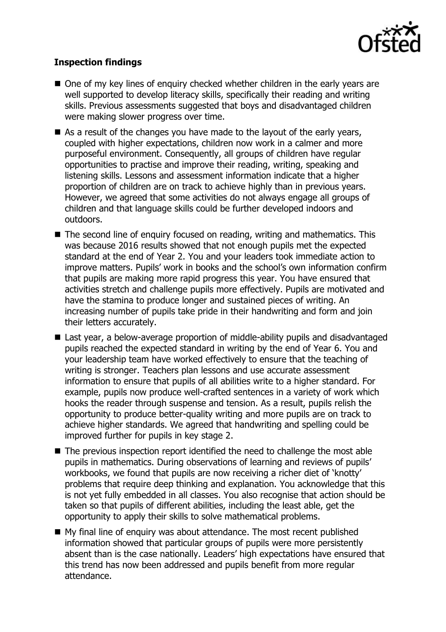

## **Inspection findings**

- One of my key lines of enquiry checked whether children in the early years are well supported to develop literacy skills, specifically their reading and writing skills. Previous assessments suggested that boys and disadvantaged children were making slower progress over time.
- As a result of the changes you have made to the layout of the early years, coupled with higher expectations, children now work in a calmer and more purposeful environment. Consequently, all groups of children have regular opportunities to practise and improve their reading, writing, speaking and listening skills. Lessons and assessment information indicate that a higher proportion of children are on track to achieve highly than in previous years. However, we agreed that some activities do not always engage all groups of children and that language skills could be further developed indoors and outdoors.
- The second line of enquiry focused on reading, writing and mathematics. This was because 2016 results showed that not enough pupils met the expected standard at the end of Year 2. You and your leaders took immediate action to improve matters. Pupils' work in books and the school's own information confirm that pupils are making more rapid progress this year. You have ensured that activities stretch and challenge pupils more effectively. Pupils are motivated and have the stamina to produce longer and sustained pieces of writing. An increasing number of pupils take pride in their handwriting and form and join their letters accurately.
- Last year, a below-average proportion of middle-ability pupils and disadvantaged pupils reached the expected standard in writing by the end of Year 6. You and your leadership team have worked effectively to ensure that the teaching of writing is stronger. Teachers plan lessons and use accurate assessment information to ensure that pupils of all abilities write to a higher standard. For example, pupils now produce well-crafted sentences in a variety of work which hooks the reader through suspense and tension. As a result, pupils relish the opportunity to produce better-quality writing and more pupils are on track to achieve higher standards. We agreed that handwriting and spelling could be improved further for pupils in key stage 2.
- The previous inspection report identified the need to challenge the most able pupils in mathematics. During observations of learning and reviews of pupils' workbooks, we found that pupils are now receiving a richer diet of 'knotty' problems that require deep thinking and explanation. You acknowledge that this is not yet fully embedded in all classes. You also recognise that action should be taken so that pupils of different abilities, including the least able, get the opportunity to apply their skills to solve mathematical problems.
- My final line of enquiry was about attendance. The most recent published information showed that particular groups of pupils were more persistently absent than is the case nationally. Leaders' high expectations have ensured that this trend has now been addressed and pupils benefit from more regular attendance.